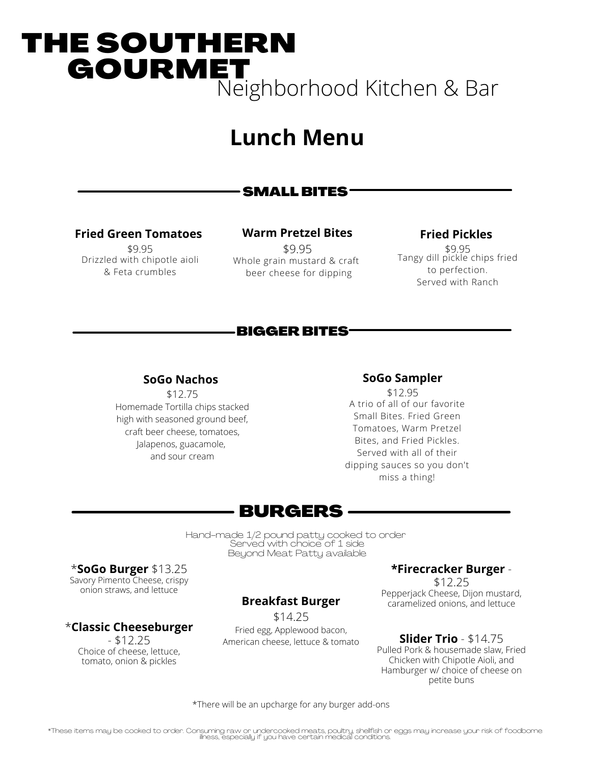# THE SOUTHERN **GOURMET** Neighborhood Kitchen & Bar

# **Lunch Menu**

# SMALL BITES

# **Fried Green Tomatoes**

\$9.95 Drizzled with chipotle aioli & Feta crumbles

## **Warm Pretzel Bites**

\$9.95 Whole grain mustard & craft beer cheese for dipping

## **Fried Pickles**

\$9.95 Tangy dill pickle chips fried to perfection. Served with Ranch

# BIGGER BITES

## **SoGo Nachos**

\$12.75 Homemade Tortilla chips stacked high with seasoned ground beef, craft beer cheese, tomatoes, Jalapenos, guacamole, and sour cream

#### **SoGo Sampler**

\$12.95 A trio of all of our favorite Small Bites. Fried Green Tomatoes, Warm Pretzel Bites, and Fried Pickles. Served with all of their dipping sauces so you don't miss a thing!

# BURGERS

Hand-made 1/2 pound patty cooked to order Served with choice of 1 side Beyond Meat Patty available

\***SoGo Burger** \$13.25 Savory Pimento Cheese, crispy onion straws, and lettuce

# \***Classic Cheeseburger**

- \$12.25 Choice of cheese, lettuce, tomato, onion & pickles

# **Breakfast Burger**

\$14.25 Fried egg, Applewood bacon, American cheese, lettuce & tomato

# **\*Firecracker Burger** -

\$12.25 Pepperjack Cheese, Dijon mustard, caramelized onions, and lettuce

#### **Slider Trio** - \$14.75

Pulled Pork & housemade slaw, Fried Chicken with Chipotle Aioli, and Hamburger w/ choice of cheese on petite buns

\*There will be an upcharge for any burger add-ons